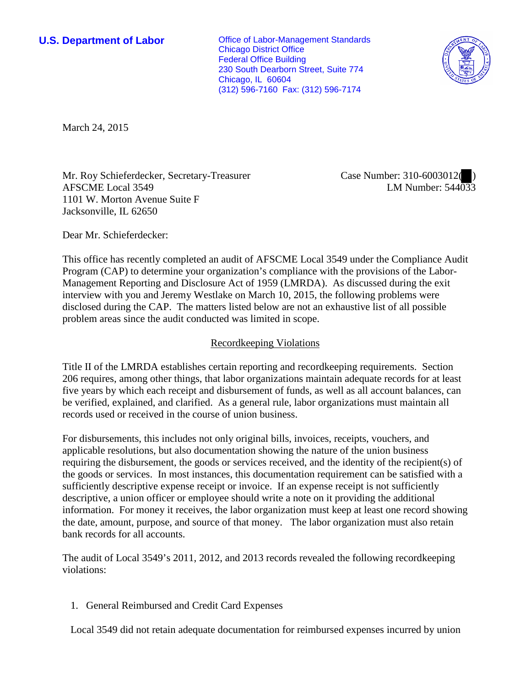**U.S. Department of Labor Conservative Conservative Conservative Conservative Conservative Conservative Conservative Conservative Conservative Conservative Conservative Conservative Conservative Conservative Conservative** Chicago District Office Federal Office Building 230 South Dearborn Street, Suite 774 Chicago, IL 60604 (312) 596-7160 Fax: (312) 596-7174



March 24, 2015

Mr. Roy Schieferdecker, Secretary-Treasurer AFSCME Local 3549 1101 W. Morton Avenue Suite F Jacksonville, IL 62650

Case Number: 310-6003012( ) LM Number: 544033

Dear Mr. Schieferdecker:

This office has recently completed an audit of AFSCME Local 3549 under the Compliance Audit Program (CAP) to determine your organization's compliance with the provisions of the Labor-Management Reporting and Disclosure Act of 1959 (LMRDA). As discussed during the exit interview with you and Jeremy Westlake on March 10, 2015, the following problems were disclosed during the CAP. The matters listed below are not an exhaustive list of all possible problem areas since the audit conducted was limited in scope.

## Recordkeeping Violations

Title II of the LMRDA establishes certain reporting and recordkeeping requirements. Section 206 requires, among other things, that labor organizations maintain adequate records for at least five years by which each receipt and disbursement of funds, as well as all account balances, can be verified, explained, and clarified. As a general rule, labor organizations must maintain all records used or received in the course of union business.

For disbursements, this includes not only original bills, invoices, receipts, vouchers, and applicable resolutions, but also documentation showing the nature of the union business requiring the disbursement, the goods or services received, and the identity of the recipient(s) of the goods or services. In most instances, this documentation requirement can be satisfied with a sufficiently descriptive expense receipt or invoice. If an expense receipt is not sufficiently descriptive, a union officer or employee should write a note on it providing the additional information. For money it receives, the labor organization must keep at least one record showing the date, amount, purpose, and source of that money. The labor organization must also retain bank records for all accounts.

The audit of Local 3549's 2011, 2012, and 2013 records revealed the following recordkeeping violations:

1. General Reimbursed and Credit Card Expenses

Local 3549 did not retain adequate documentation for reimbursed expenses incurred by union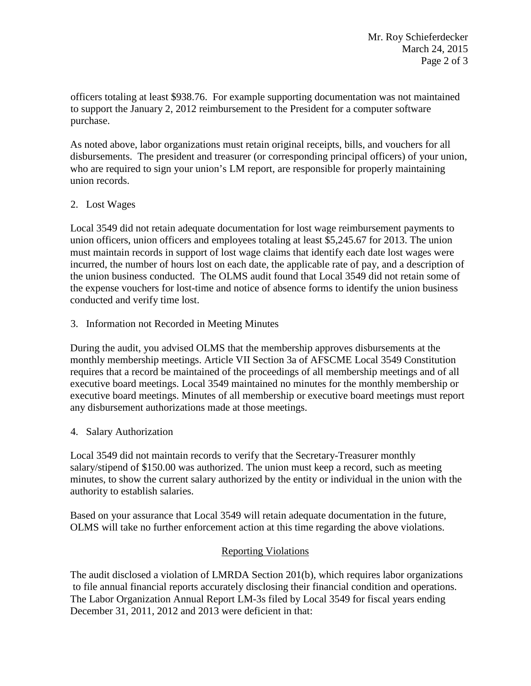officers totaling at least \$938.76. For example supporting documentation was not maintained to support the January 2, 2012 reimbursement to the President for a computer software purchase.

 As noted above, labor organizations must retain original receipts, bills, and vouchers for all disbursements. The president and treasurer (or corresponding principal officers) of your union, who are required to sign your union's LM report, are responsible for properly maintaining union records.

# 2. Lost Wages

 Local 3549 did not retain adequate documentation for lost wage reimbursement payments to union officers, union officers and employees totaling at least \$5,245.67 for 2013. The union must maintain records in support of lost wage claims that identify each date lost wages were incurred, the number of hours lost on each date, the applicable rate of pay, and a description of the union business conducted. The OLMS audit found that Local 3549 did not retain some of the expense vouchers for lost-time and notice of absence forms to identify the union business conducted and verify time lost.

## 3. Information not Recorded in Meeting Minutes

 During the audit, you advised OLMS that the membership approves disbursements at the monthly membership meetings. Article VII Section 3a of AFSCME Local 3549 Constitution requires that a record be maintained of the proceedings of all membership meetings and of all executive board meetings. Local 3549 maintained no minutes for the monthly membership or executive board meetings. Minutes of all membership or executive board meetings must report any disbursement authorizations made at those meetings.

### 4. Salary Authorization

 Local 3549 did not maintain records to verify that the Secretary-Treasurer monthly salary/stipend of \$150.00 was authorized. The union must keep a record, such as meeting minutes, to show the current salary authorized by the entity or individual in the union with the authority to establish salaries.

Based on your assurance that Local 3549 will retain adequate documentation in the future, OLMS will take no further enforcement action at this time regarding the above violations.

# Reporting Violations

 The audit disclosed a violation of LMRDA Section 201(b), which requires labor organizations to file annual financial reports accurately disclosing their financial condition and operations. The Labor Organization Annual Report LM-3s filed by Local 3549 for fiscal years ending December 31, 2011, 2012 and 2013 were deficient in that: